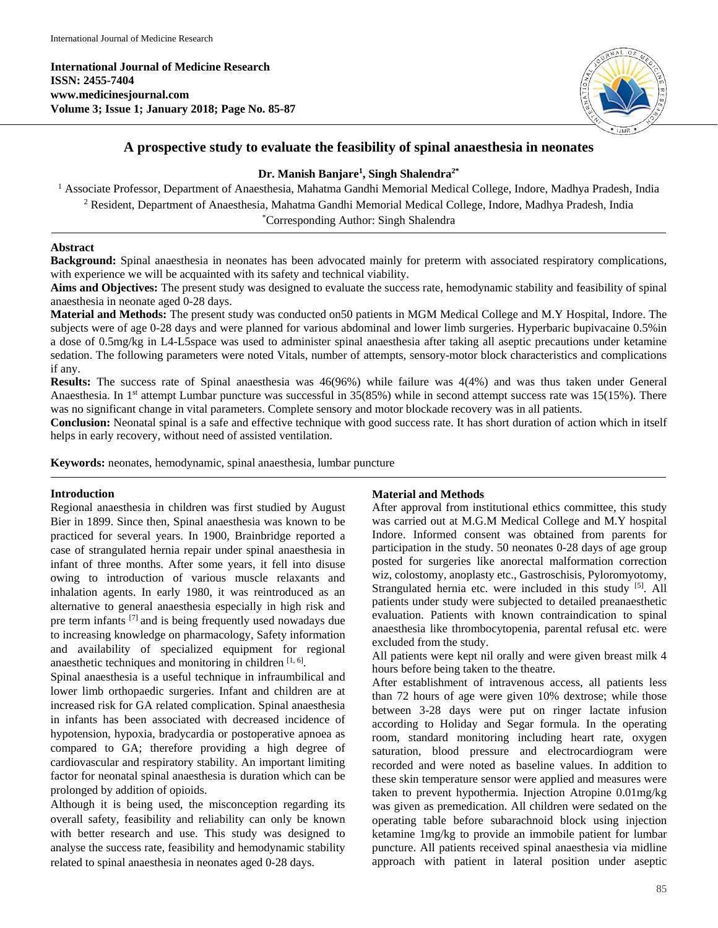**International Journal of Medicine Research ISSN: 2455-7404 www.medicinesjournal.com Volume 3; Issue 1; January 2018; Page No. 85-87**



# **A prospective study to evaluate the feasibility of spinal anaesthesia in neonates**

## **Dr. Manish Banjare1 , Singh Shalendra2\***

<sup>1</sup> Associate Professor, Department of Anaesthesia, Mahatma Gandhi Memorial Medical College, Indore, Madhya Pradesh, India <sup>2</sup> Resident, Department of Anaesthesia, Mahatma Gandhi Memorial Medical College, Indore, Madhya Pradesh, India

\* Corresponding Author: Singh Shalendra

### **Abstract**

**Background:** Spinal anaesthesia in neonates has been advocated mainly for preterm with associated respiratory complications, with experience we will be acquainted with its safety and technical viability.

**Aims and Objectives:** The present study was designed to evaluate the success rate, hemodynamic stability and feasibility of spinal anaesthesia in neonate aged 0-28 days.

**Material and Methods:** The present study was conducted on50 patients in MGM Medical College and M.Y Hospital, Indore. The subjects were of age 0-28 days and were planned for various abdominal and lower limb surgeries. Hyperbaric bupivacaine 0.5%in a dose of 0.5mg/kg in L4-L5space was used to administer spinal anaesthesia after taking all aseptic precautions under ketamine sedation. The following parameters were noted Vitals, number of attempts, sensory-motor block characteristics and complications if any.

**Results:** The success rate of Spinal anaesthesia was 46(96%) while failure was 4(4%) and was thus taken under General Anaesthesia. In  $1<sup>st</sup>$  attempt Lumbar puncture was successful in 35(85%) while in second attempt success rate was  $15(15%)$ . There was no significant change in vital parameters. Complete sensory and motor blockade recovery was in all patients.

**Conclusion:** Neonatal spinal is a safe and effective technique with good success rate. It has short duration of action which in itself helps in early recovery, without need of assisted ventilation.

**Keywords:** neonates, hemodynamic, spinal anaesthesia, lumbar puncture

### **Introduction**

Regional anaesthesia in children was first studied by August Bier in 1899. Since then, Spinal anaesthesia was known to be practiced for several years. In 1900, Brainbridge reported a case of strangulated hernia repair under spinal anaesthesia in infant of three months. After some years, it fell into disuse owing to introduction of various muscle relaxants and inhalation agents. In early 1980, it was reintroduced as an alternative to general anaesthesia especially in high risk and pre term infants [7] and is being frequently used nowadays due to increasing knowledge on pharmacology, Safety information and availability of specialized equipment for regional anaesthetic techniques and monitoring in children  $[1, 6]$ .

Spinal anaesthesia is a useful technique in infraumbilical and lower limb orthopaedic surgeries. Infant and children are at increased risk for GA related complication. Spinal anaesthesia in infants has been associated with decreased incidence of hypotension, hypoxia, bradycardia or postoperative apnoea as compared to GA; therefore providing a high degree of cardiovascular and respiratory stability. An important limiting factor for neonatal spinal anaesthesia is duration which can be prolonged by addition of opioids.

Although it is being used, the misconception regarding its overall safety, feasibility and reliability can only be known with better research and use. This study was designed to analyse the success rate, feasibility and hemodynamic stability related to spinal anaesthesia in neonates aged 0-28 days.

### **Material and Methods**

After approval from institutional ethics committee, this study was carried out at M.G.M Medical College and M.Y hospital Indore. Informed consent was obtained from parents for participation in the study. 50 neonates 0-28 days of age group posted for surgeries like anorectal malformation correction wiz, colostomy, anoplasty etc., Gastroschisis, Pyloromyotomy, Strangulated hernia etc. were included in this study <sup>[5]</sup>. All patients under study were subjected to detailed preanaesthetic evaluation. Patients with known contraindication to spinal anaesthesia like thrombocytopenia, parental refusal etc. were excluded from the study.

All patients were kept nil orally and were given breast milk 4 hours before being taken to the theatre.

After establishment of intravenous access, all patients less than 72 hours of age were given 10% dextrose; while those between 3-28 days were put on ringer lactate infusion according to Holiday and Segar formula. In the operating room, standard monitoring including heart rate, oxygen saturation, blood pressure and electrocardiogram were recorded and were noted as baseline values. In addition to these skin temperature sensor were applied and measures were taken to prevent hypothermia. Injection Atropine 0.01mg/kg was given as premedication. All children were sedated on the operating table before subarachnoid block using injection ketamine 1mg/kg to provide an immobile patient for lumbar puncture. All patients received spinal anaesthesia via midline approach with patient in lateral position under aseptic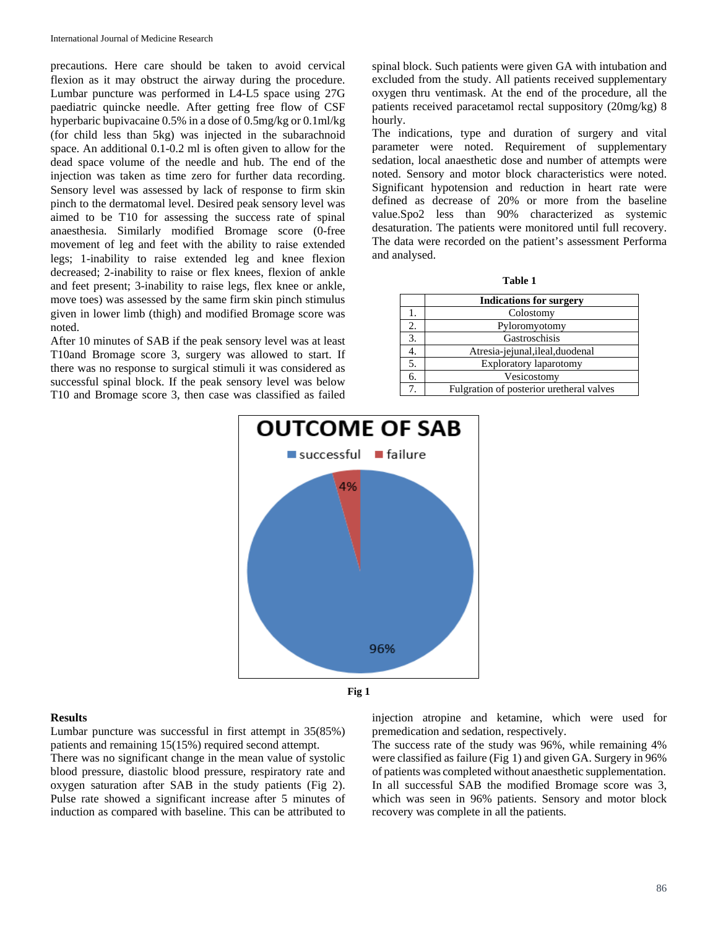precautions. Here care should be taken to avoid cervical flexion as it may obstruct the airway during the procedure. Lumbar puncture was performed in L4-L5 space using 27G paediatric quincke needle. After getting free flow of CSF hyperbaric bupivacaine 0.5% in a dose of 0.5mg/kg or 0.1ml/kg (for child less than 5kg) was injected in the subarachnoid space. An additional 0.1-0.2 ml is often given to allow for the dead space volume of the needle and hub. The end of the injection was taken as time zero for further data recording. Sensory level was assessed by lack of response to firm skin pinch to the dermatomal level. Desired peak sensory level was aimed to be T10 for assessing the success rate of spinal anaesthesia. Similarly modified Bromage score (0-free movement of leg and feet with the ability to raise extended legs; 1-inability to raise extended leg and knee flexion decreased; 2-inability to raise or flex knees, flexion of ankle and feet present; 3-inability to raise legs, flex knee or ankle, move toes) was assessed by the same firm skin pinch stimulus given in lower limb (thigh) and modified Bromage score was noted.

After 10 minutes of SAB if the peak sensory level was at least T10and Bromage score 3, surgery was allowed to start. If there was no response to surgical stimuli it was considered as successful spinal block. If the peak sensory level was below T10 and Bromage score 3, then case was classified as failed

spinal block. Such patients were given GA with intubation and excluded from the study. All patients received supplementary oxygen thru ventimask. At the end of the procedure, all the patients received paracetamol rectal suppository (20mg/kg) 8 hourly.

The indications, type and duration of surgery and vital parameter were noted. Requirement of supplementary sedation, local anaesthetic dose and number of attempts were noted. Sensory and motor block characteristics were noted. Significant hypotension and reduction in heart rate were defined as decrease of 20% or more from the baseline value.Spo2 less than 90% characterized as systemic desaturation. The patients were monitored until full recovery. The data were recorded on the patient's assessment Performa and analysed.

| able |
|------|
|------|

|    | <b>Indications for surgery</b>           |
|----|------------------------------------------|
|    | Colostomy                                |
| 2. | Pyloromyotomy                            |
| 3. | Gastroschisis                            |
|    | Atresia-jejunal, ileal, duodenal         |
| 5. | <b>Exploratory laparotomy</b>            |
| б. | Vesicostomy                              |
|    | Fulgration of posterior uretheral valves |



#### **Fig 1**

#### **Results**

Lumbar puncture was successful in first attempt in 35(85%) patients and remaining 15(15%) required second attempt. There was no significant change in the mean value of systolic blood pressure, diastolic blood pressure, respiratory rate and oxygen saturation after SAB in the study patients (Fig 2).

Pulse rate showed a significant increase after 5 minutes of induction as compared with baseline. This can be attributed to injection atropine and ketamine, which were used for premedication and sedation, respectively.

The success rate of the study was 96%, while remaining 4% were classified as failure (Fig 1) and given GA. Surgery in 96% of patients was completed without anaesthetic supplementation. In all successful SAB the modified Bromage score was 3, which was seen in 96% patients. Sensory and motor block recovery was complete in all the patients.